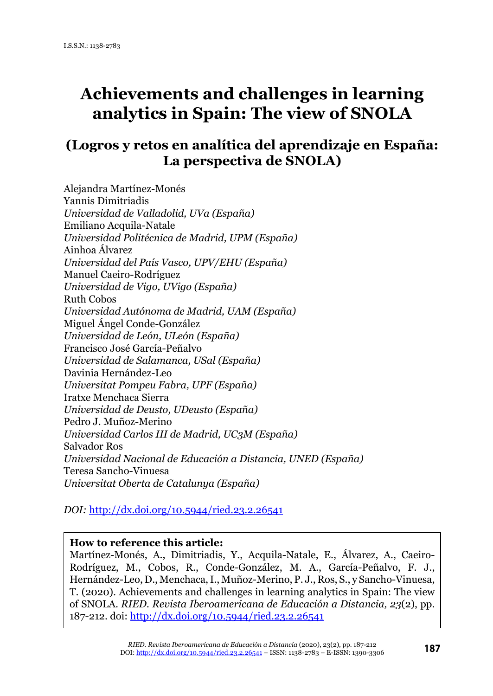# **Achievements and challenges in learning analytics in Spain: The view of SNOLA**

# **(Logros y retos en analítica del aprendizaje en España: La perspectiva de SNOLA)**

Alejandra Martínez-Monés Yannis Dimitriadis *Universidad de Valladolid, UVa (España)* Emiliano Acquila-Natale *Universidad Politécnica de Madrid, UPM (España)* Ainhoa Álvarez *Universidad del País Vasco, UPV/EHU (España)* Manuel Caeiro-Rodríguez *Universidad de Vigo, UVigo (España)* Ruth Cobos *Universidad Autónoma de Madrid, UAM (España)* Miguel Ángel Conde-González *Universidad de León, ULeón (España)* Francisco José García-Peñalvo *Universidad de Salamanca, USal (España)* Davinia Hernández-Leo *Universitat Pompeu Fabra, UPF (España)* Iratxe Menchaca Sierra *Universidad de Deusto, UDeusto (España)* Pedro J. Muñoz-Merino *Universidad Carlos III de Madrid, UC3M (España)* Salvador Ros *Universidad Nacional de Educación a Distancia, UNED (España)* Teresa Sancho-Vinuesa *Universitat Oberta de Catalunya (España)*

*DOI:* <http://dx.doi.org/10.5944/ried.23.2.26541>

# **How to reference this article:**

Martínez-Monés, A., Dimitriadis, Y., Acquila-Natale, E., Álvarez, A., Caeiro-Rodríguez, M., Cobos, R., Conde-González, M. A., García-Peñalvo, F. J., Hernández-Leo, D., Menchaca, I., Muñoz-Merino, P. J., Ros, S., y Sancho-Vinuesa, T. (2020). Achievements and challenges in learning analytics in Spain: The view of SNOLA. *RIED. Revista Iberoamericana de Educación a Distancia, 23*(2), pp. 187-212. doi:<http://dx.doi.org/10.5944/ried.23.2.26541>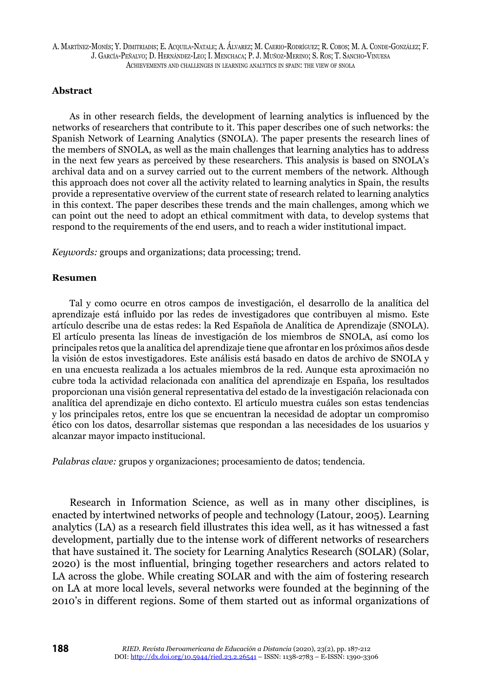#### **Abstract**

As in other research fields, the development of learning analytics is influenced by the networks of researchers that contribute to it. This paper describes one of such networks: the Spanish Network of Learning Analytics (SNOLA). The paper presents the research lines of the members of SNOLA, as well as the main challenges that learning analytics has to address in the next few years as perceived by these researchers. This analysis is based on SNOLA's archival data and on a survey carried out to the current members of the network. Although this approach does not cover all the activity related to learning analytics in Spain, the results provide a representative overview of the current state of research related to learning analytics in this context. The paper describes these trends and the main challenges, among which we can point out the need to adopt an ethical commitment with data, to develop systems that respond to the requirements of the end users, and to reach a wider institutional impact.

*Keywords:* groups and organizations; data processing; trend.

#### **Resumen**

Tal y como ocurre en otros campos de investigación, el desarrollo de la analítica del aprendizaje está influido por las redes de investigadores que contribuyen al mismo. Este artículo describe una de estas redes: la Red Española de Analítica de Aprendizaje (SNOLA). El artículo presenta las líneas de investigación de los miembros de SNOLA, así como los principales retos que la analítica del aprendizaje tiene que afrontar en los próximos años desde la visión de estos investigadores. Este análisis está basado en datos de archivo de SNOLA y en una encuesta realizada a los actuales miembros de la red. Aunque esta aproximación no cubre toda la actividad relacionada con analítica del aprendizaje en España, los resultados proporcionan una visión general representativa del estado de la investigación relacionada con analítica del aprendizaje en dicho contexto. El artículo muestra cuáles son estas tendencias y los principales retos, entre los que se encuentran la necesidad de adoptar un compromiso ético con los datos, desarrollar sistemas que respondan a las necesidades de los usuarios y alcanzar mayor impacto institucional.

*Palabras clave:* grupos y organizaciones; procesamiento de datos; tendencia.

Research in Information Science, as well as in many other disciplines, is enacted by intertwined networks of people and technology (Latour, 2005). Learning analytics (LA) as a research field illustrates this idea well, as it has witnessed a fast development, partially due to the intense work of different networks of researchers that have sustained it. The society for Learning Analytics Research (SOLAR) (Solar, 2020) is the most influential, bringing together researchers and actors related to LA across the globe. While creating SOLAR and with the aim of fostering research on LA at more local levels, several networks were founded at the beginning of the 2010's in different regions. Some of them started out as informal organizations of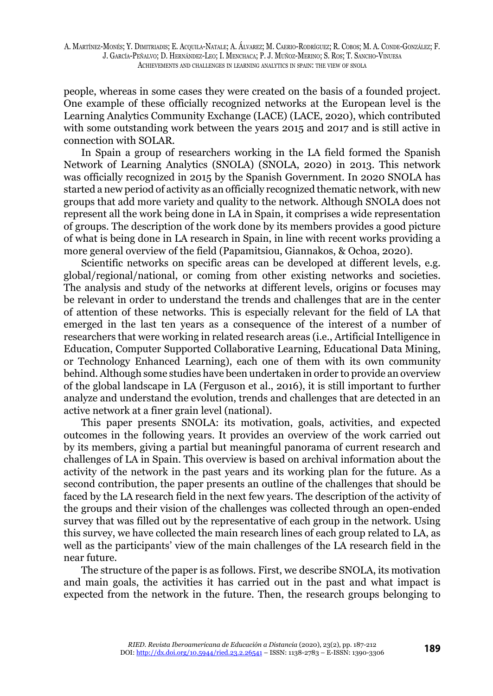people, whereas in some cases they were created on the basis of a founded project. One example of these officially recognized networks at the European level is the Learning Analytics Community Exchange (LACE) (LACE, 2020), which contributed with some outstanding work between the years 2015 and 2017 and is still active in connection with SOLAR.

In Spain a group of researchers working in the LA field formed the Spanish Network of Learning Analytics (SNOLA) (SNOLA, 2020) in 2013. This network was officially recognized in 2015 by the Spanish Government. In 2020 SNOLA has started a new period of activity as an officially recognized thematic network, with new groups that add more variety and quality to the network. Although SNOLA does not represent all the work being done in LA in Spain, it comprises a wide representation of groups. The description of the work done by its members provides a good picture of what is being done in LA research in Spain, in line with recent works providing a more general overview of the field (Papamitsiou, Giannakos, & Ochoa, 2020).

Scientific networks on specific areas can be developed at different levels, e.g. global/regional/national, or coming from other existing networks and societies. The analysis and study of the networks at different levels, origins or focuses may be relevant in order to understand the trends and challenges that are in the center of attention of these networks. This is especially relevant for the field of LA that emerged in the last ten years as a consequence of the interest of a number of researchers that were working in related research areas (i.e., Artificial Intelligence in Education, Computer Supported Collaborative Learning, Educational Data Mining, or Technology Enhanced Learning), each one of them with its own community behind. Although some studies have been undertaken in order to provide an overview of the global landscape in LA (Ferguson et al., 2016), it is still important to further analyze and understand the evolution, trends and challenges that are detected in an active network at a finer grain level (national).

This paper presents SNOLA: its motivation, goals, activities, and expected outcomes in the following years. It provides an overview of the work carried out by its members, giving a partial but meaningful panorama of current research and challenges of LA in Spain. This overview is based on archival information about the activity of the network in the past years and its working plan for the future. As a second contribution, the paper presents an outline of the challenges that should be faced by the LA research field in the next few years. The description of the activity of the groups and their vision of the challenges was collected through an open-ended survey that was filled out by the representative of each group in the network. Using this survey, we have collected the main research lines of each group related to LA, as well as the participants' view of the main challenges of the LA research field in the near future.

The structure of the paper is as follows. First, we describe SNOLA, its motivation and main goals, the activities it has carried out in the past and what impact is expected from the network in the future. Then, the research groups belonging to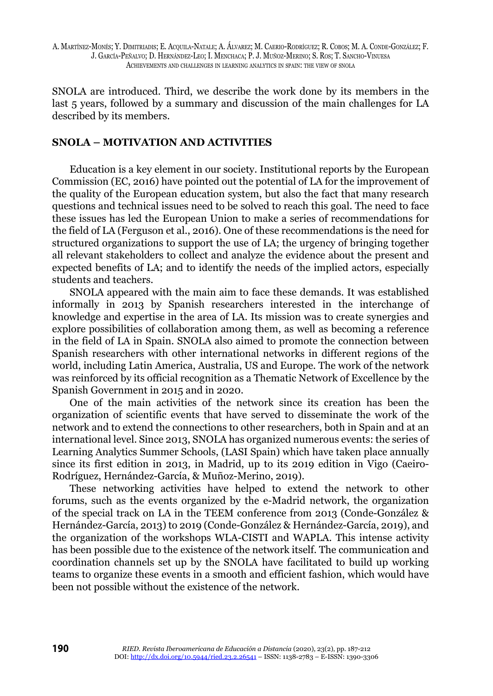SNOLA are introduced. Third, we describe the work done by its members in the last 5 years, followed by a summary and discussion of the main challenges for LA described by its members.

# **SNOLA – MOTIVATION AND ACTIVITIES**

Education is a key element in our society. Institutional reports by the European Commission (EC, 2016) have pointed out the potential of LA for the improvement of the quality of the European education system, but also the fact that many research questions and technical issues need to be solved to reach this goal. The need to face these issues has led the European Union to make a series of recommendations for the field of LA (Ferguson et al., 2016). One of these recommendations is the need for structured organizations to support the use of LA; the urgency of bringing together all relevant stakeholders to collect and analyze the evidence about the present and expected benefits of LA; and to identify the needs of the implied actors, especially students and teachers.

SNOLA appeared with the main aim to face these demands. It was established informally in 2013 by Spanish researchers interested in the interchange of knowledge and expertise in the area of LA. Its mission was to create synergies and explore possibilities of collaboration among them, as well as becoming a reference in the field of LA in Spain. SNOLA also aimed to promote the connection between Spanish researchers with other international networks in different regions of the world, including Latin America, Australia, US and Europe. The work of the network was reinforced by its official recognition as a Thematic Network of Excellence by the Spanish Government in 2015 and in 2020.

One of the main activities of the network since its creation has been the organization of scientific events that have served to disseminate the work of the network and to extend the connections to other researchers, both in Spain and at an international level. Since 2013, SNOLA has organized numerous events: the series of Learning Analytics Summer Schools, (LASI Spain) which have taken place annually since its first edition in 2013, in Madrid, up to its 2019 edition in Vigo (Caeiro-Rodríguez, Hernández-García, & Muñoz-Merino, 2019).

These networking activities have helped to extend the network to other forums, such as the events organized by the e-Madrid network, the organization of the special track on LA in the TEEM conference from 2013 (Conde-González & Hernández-García, 2013) to 2019 (Conde-González & Hernández-García, 2019), and the organization of the workshops WLA-CISTI and WAPLA. This intense activity has been possible due to the existence of the network itself. The communication and coordination channels set up by the SNOLA have facilitated to build up working teams to organize these events in a smooth and efficient fashion, which would have been not possible without the existence of the network.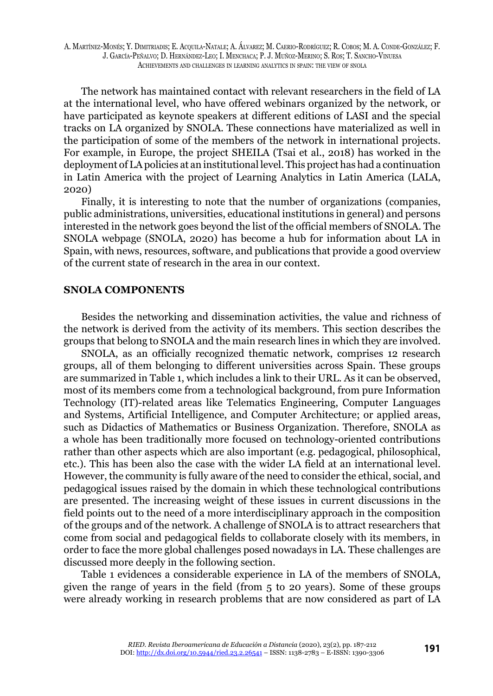The network has maintained contact with relevant researchers in the field of LA at the international level, who have offered webinars organized by the network, or have participated as keynote speakers at different editions of LASI and the special tracks on LA organized by SNOLA. These connections have materialized as well in the participation of some of the members of the network in international projects. For example, in Europe, the project SHEILA (Tsai et al., 2018) has worked in the deployment of LA policies at an institutional level. This project has had a continuation in Latin America with the project of Learning Analytics in Latin America (LALA, 2020)

Finally, it is interesting to note that the number of organizations (companies, public administrations, universities, educational institutions in general) and persons interested in the network goes beyond the list of the official members of SNOLA. The SNOLA webpage (SNOLA, 2020) has become a hub for information about LA in Spain, with news, resources, software, and publications that provide a good overview of the current state of research in the area in our context.

#### **SNOLA COMPONENTS**

Besides the networking and dissemination activities, the value and richness of the network is derived from the activity of its members. This section describes the groups that belong to SNOLA and the main research lines in which they are involved.

SNOLA, as an officially recognized thematic network, comprises 12 research groups, all of them belonging to different universities across Spain. These groups are summarized in Table 1, which includes a link to their URL. As it can be observed, most of its members come from a technological background, from pure Information Technology (IT)-related areas like Telematics Engineering, Computer Languages and Systems, Artificial Intelligence, and Computer Architecture; or applied areas, such as Didactics of Mathematics or Business Organization. Therefore, SNOLA as a whole has been traditionally more focused on technology-oriented contributions rather than other aspects which are also important (e.g. pedagogical, philosophical, etc.). This has been also the case with the wider LA field at an international level. However, the community is fully aware of the need to consider the ethical, social, and pedagogical issues raised by the domain in which these technological contributions are presented. The increasing weight of these issues in current discussions in the field points out to the need of a more interdisciplinary approach in the composition of the groups and of the network. A challenge of SNOLA is to attract researchers that come from social and pedagogical fields to collaborate closely with its members, in order to face the more global challenges posed nowadays in LA. These challenges are discussed more deeply in the following section.

Table 1 evidences a considerable experience in LA of the members of SNOLA, given the range of years in the field (from 5 to 20 years). Some of these groups were already working in research problems that are now considered as part of LA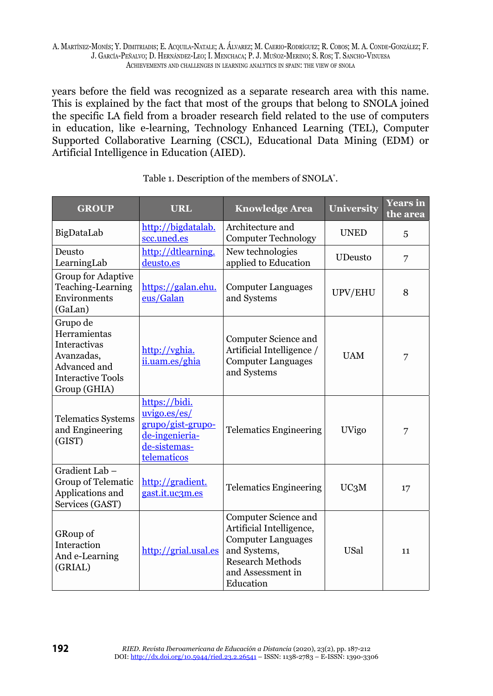years before the field was recognized as a separate research area with this name. This is explained by the fact that most of the groups that belong to SNOLA joined the specific LA field from a broader research field related to the use of computers in education, like e-learning, Technology Enhanced Learning (TEL), Computer Supported Collaborative Learning (CSCL), Educational Data Mining (EDM) or Artificial Intelligence in Education (AIED).

| <b>GROUP</b>                                                                                                              | <b>URL</b>                                                                                                                           | <b>Knowledge Area</b>                                                                                                                                      | <b>University</b> | <b>Years</b> in<br>the area |
|---------------------------------------------------------------------------------------------------------------------------|--------------------------------------------------------------------------------------------------------------------------------------|------------------------------------------------------------------------------------------------------------------------------------------------------------|-------------------|-----------------------------|
| BigDataLab                                                                                                                | http://bigdatalab.<br>scc.uned.es                                                                                                    | Architecture and<br><b>Computer Technology</b>                                                                                                             | <b>UNED</b>       | 5                           |
| Deusto<br>LearningLab                                                                                                     | http://dtlearning.<br>deusto.es                                                                                                      | New technologies<br>applied to Education                                                                                                                   | <b>UDeusto</b>    | 7                           |
| Group for Adaptive<br>Teaching-Learning<br>Environments<br>(GaLan)                                                        | https://galan.ehu.<br>eus/Galan                                                                                                      | <b>Computer Languages</b><br>and Systems                                                                                                                   | UPV/EHU           | 8                           |
| Grupo de<br>Herramientas<br><b>Interactivas</b><br>Avanzadas,<br>Advanced and<br><b>Interactive Tools</b><br>Group (GHIA) | http://vghia.<br>ii.uam.es/ghia                                                                                                      | Computer Science and<br>Artificial Intelligence /<br><b>Computer Languages</b><br>and Systems                                                              | <b>UAM</b>        | 7                           |
| <b>Telematics Systems</b><br>and Engineering<br>(GIST)                                                                    | https://bidi.<br>uvigo.es/es/<br>grupo/gist-grupo-<br><b>Telematics Engineering</b><br>de-ingenieria-<br>de-sistemas-<br>telematicos |                                                                                                                                                            | UVigo             | 7                           |
| Gradient Lab-<br>Group of Telematic<br>Applications and<br>Services (GAST)                                                | http://gradient.<br>gast.it.uc3m.es                                                                                                  | <b>Telematics Engineering</b>                                                                                                                              | UC <sub>3</sub> M | 17                          |
| GRoup of<br>Interaction<br>And e-Learning<br>(GRIAL)                                                                      | http://grial.usal.es                                                                                                                 | Computer Science and<br>Artificial Intelligence,<br><b>Computer Languages</b><br>and Systems,<br><b>Research Methods</b><br>and Assessment in<br>Education | <b>USal</b>       | 11                          |

#### Table 1. Description of the members of SNOLA\* .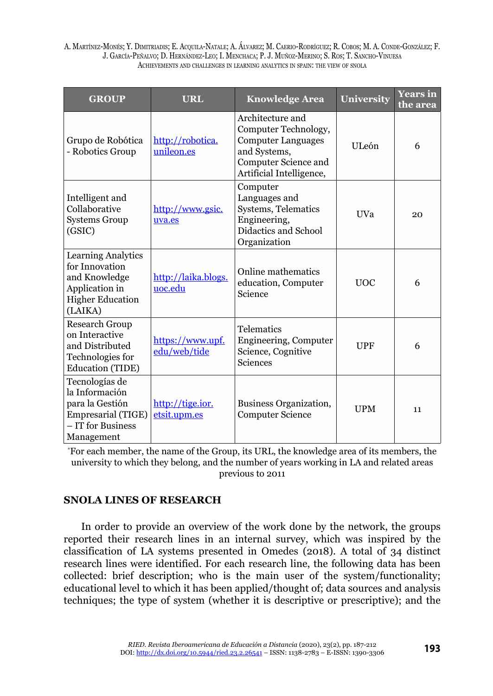| <b>GROUP</b>                                                                                                         | <b>URL</b>                       | <b>Knowledge Area</b>                                                                                                                     | University | <b>Years</b> in<br>the area |
|----------------------------------------------------------------------------------------------------------------------|----------------------------------|-------------------------------------------------------------------------------------------------------------------------------------------|------------|-----------------------------|
| Grupo de Robótica<br>- Robotics Group                                                                                | http://robotica.<br>unileon.es   | Architecture and<br>Computer Technology,<br><b>Computer Languages</b><br>and Systems,<br>Computer Science and<br>Artificial Intelligence, | ULeón      | 6                           |
| Intelligent and<br>Collaborative<br><b>Systems Group</b><br>(GSIC)                                                   | http://www.gsic.<br>uva.es       | Computer<br>Languages and<br>Systems, Telematics<br>UVa<br>Engineering,<br>Didactics and School<br>Organization                           |            | 20                          |
| <b>Learning Analytics</b><br>for Innovation<br>and Knowledge<br>Application in<br><b>Higher Education</b><br>(LAIKA) | http://laika.blogs.<br>uoc.edu   | Online mathematics<br>education, Computer<br>Science                                                                                      | <b>UOC</b> | 6                           |
| Research Group<br>on Interactive<br>and Distributed<br>Technologies for<br><b>Education (TIDE)</b>                   | https://www.upf.<br>edu/web/tide | <b>Telematics</b><br>Engineering, Computer<br>Science, Cognitive<br>Sciences                                                              | <b>UPF</b> | 6                           |
| Tecnologías de<br>la Información<br>para la Gestión<br>Empresarial (TIGE)<br>- IT for Business<br>Management         | http://tige.ior.<br>etsit.upm.es | Business Organization,<br><b>Computer Science</b>                                                                                         | <b>UPM</b> | 11                          |

\* For each member, the name of the Group, its URL, the knowledge area of its members, the university to which they belong, and the number of years working in LA and related areas previous to 2011

## **SNOLA LINES OF RESEARCH**

In order to provide an overview of the work done by the network, the groups reported their research lines in an internal survey, which was inspired by the classification of LA systems presented in Omedes (2018). A total of 34 distinct research lines were identified. For each research line, the following data has been collected: brief description; who is the main user of the system/functionality; educational level to which it has been applied/thought of; data sources and analysis techniques; the type of system (whether it is descriptive or prescriptive); and the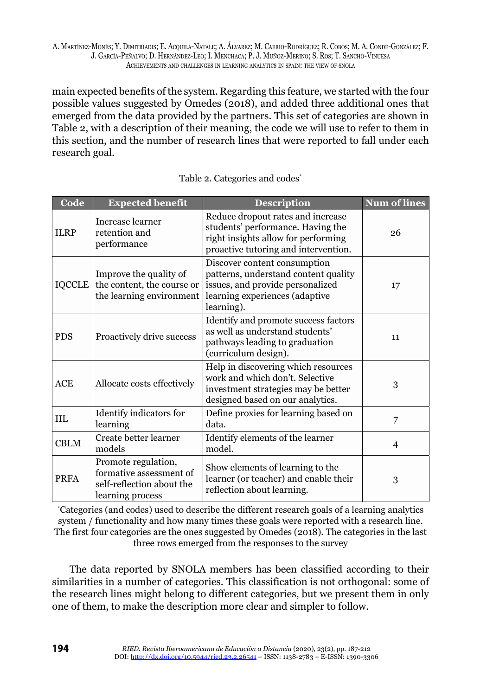main expected benefits of the system. Regarding this feature, we started with the four possible values suggested by Omedes (2018), and added three additional ones that emerged from the data provided by the partners. This set of categories are shown in Table 2, with a description of their meaning, the code we will use to refer to them in this section, and the number of research lines that were reported to fall under each research goal.

| Code          | <b>Expected benefit</b>                                                                         | <b>Description</b>                                                                                                                                       | <b>Num of lines</b> |
|---------------|-------------------------------------------------------------------------------------------------|----------------------------------------------------------------------------------------------------------------------------------------------------------|---------------------|
| <b>ILRP</b>   | Increase learner<br>retention and<br>performance                                                | Reduce dropout rates and increase<br>students' performance. Having the<br>right insights allow for performing<br>proactive tutoring and intervention.    | 26                  |
| <b>IQCCLE</b> | Improve the quality of<br>the content, the course or<br>the learning environment                | Discover content consumption<br>patterns, understand content quality<br>issues, and provide personalized<br>learning experiences (adaptive<br>learning). | 17                  |
| <b>PDS</b>    | Proactively drive success                                                                       | Identify and promote success factors<br>as well as understand students'<br>pathways leading to graduation<br>(curriculum design).                        | 11                  |
| ACE           | Allocate costs effectively                                                                      | Help in discovering which resources<br>work and which don't. Selective<br>investment strategies may be better<br>designed based on our analytics.        | 3                   |
| <b>IIL</b>    | Identify indicators for<br>learning                                                             | Define proxies for learning based on<br>data.                                                                                                            | 7                   |
| <b>CBLM</b>   | Create better learner<br>models                                                                 | Identify elements of the learner<br>model.                                                                                                               | $\overline{4}$      |
| <b>PRFA</b>   | Promote regulation,<br>formative assessment of<br>self-reflection about the<br>learning process | Show elements of learning to the<br>learner (or teacher) and enable their<br>reflection about learning.                                                  | 3                   |

#### Table 2. Categories and codes\*

\* Categories (and codes) used to describe the different research goals of a learning analytics system / functionality and how many times these goals were reported with a research line. The first four categories are the ones suggested by Omedes (2018). The categories in the last three rows emerged from the responses to the survey

The data reported by SNOLA members has been classified according to their similarities in a number of categories. This classification is not orthogonal: some of the research lines might belong to different categories, but we present them in only one of them, to make the description more clear and simpler to follow.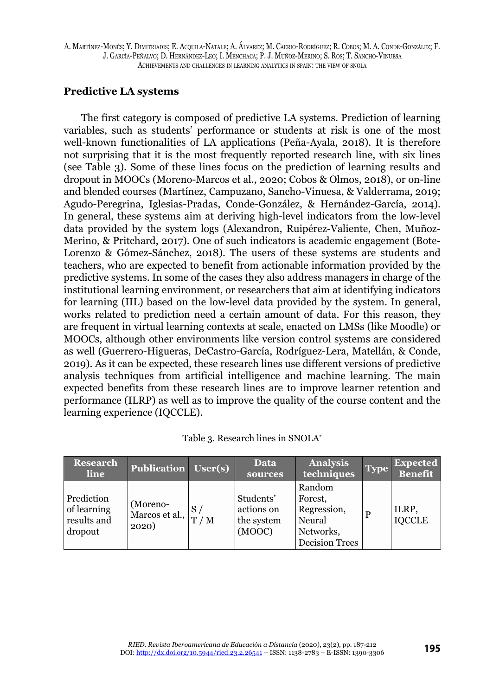#### **Predictive LA systems**

The first category is composed of predictive LA systems. Prediction of learning variables, such as students' performance or students at risk is one of the most well-known functionalities of LA applications (Peña-Ayala, 2018). It is therefore not surprising that it is the most frequently reported research line, with six lines (see Table 3). Some of these lines focus on the prediction of learning results and dropout in MOOCs (Moreno-Marcos et al., 2020; Cobos & Olmos, 2018), or on-line and blended courses (Martínez, Campuzano, Sancho-Vinuesa, & Valderrama, 2019; Agudo-Peregrina, Iglesias-Pradas, Conde-González, & Hernández-García, 2014). In general, these systems aim at deriving high-level indicators from the low-level data provided by the system logs (Alexandron, Ruipérez-Valiente, Chen, Muñoz-Merino, & Pritchard, 2017). One of such indicators is academic engagement (Bote-Lorenzo & Gómez-Sánchez, 2018). The users of these systems are students and teachers, who are expected to benefit from actionable information provided by the predictive systems. In some of the cases they also address managers in charge of the institutional learning environment, or researchers that aim at identifying indicators for learning (IIL) based on the low-level data provided by the system. In general, works related to prediction need a certain amount of data. For this reason, they are frequent in virtual learning contexts at scale, enacted on LMSs (like Moodle) or MOOCs, although other environments like version control systems are considered as well (Guerrero-Higueras, DeCastro-García, Rodríguez-Lera, Matellán, & Conde, 2019). As it can be expected, these research lines use different versions of predictive analysis techniques from artificial intelligence and machine learning. The main expected benefits from these research lines are to improve learner retention and performance (ILRP) as well as to improve the quality of the course content and the learning experience (IQCCLE).

| <b>Research</b><br>line                             | <b>Publication User(s)</b>          |           | Data<br>sources                                 | <b>Analysis</b><br>techniques                                                    | <b>Type</b> | <b>Expected</b><br>Benefit |
|-----------------------------------------------------|-------------------------------------|-----------|-------------------------------------------------|----------------------------------------------------------------------------------|-------------|----------------------------|
| Prediction<br>of learning<br>results and<br>dropout | (Moreno-<br>Marcos et al.,<br>2020) | S/<br>T/M | Students'<br>actions on<br>the system<br>(MOOC) | Random<br>Forest,<br>Regression,<br>Neural<br>Networks,<br><b>Decision Trees</b> | P           | ILRP,<br><b>IQCCLE</b>     |

|  | Table 3. Research lines in SNOLA* |  |  |  |  |
|--|-----------------------------------|--|--|--|--|
|--|-----------------------------------|--|--|--|--|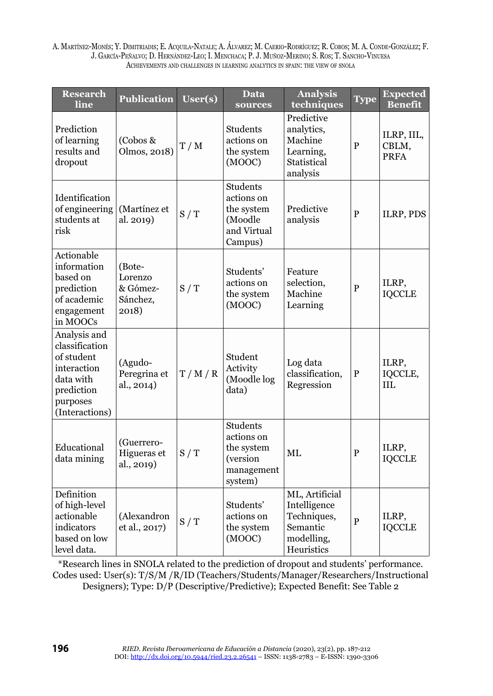| <b>Research</b><br>line                                                                                              | <b>Publication</b>                                 | User(s) | <b>Data</b><br>sources                                                    | <b>Analysis</b><br>techniques                                                         | <b>Type</b>  | <b>Expected</b><br><b>Benefit</b>  |
|----------------------------------------------------------------------------------------------------------------------|----------------------------------------------------|---------|---------------------------------------------------------------------------|---------------------------------------------------------------------------------------|--------------|------------------------------------|
| Prediction<br>of learning<br>results and<br>dropout                                                                  | (Cobos &<br>Olmos, 2018)                           | T/M     | Students<br>actions on<br>the system<br>(MOOC)                            | Predictive<br>analytics,<br>Machine<br>Learning,<br>Statistical<br>analysis           | $\mathbf{P}$ | ILRP, IIL,<br>CBLM,<br><b>PRFA</b> |
| Identification<br>of engineering<br>students at<br>risk                                                              | (Martínez et<br>al. 2019)                          | S/T     | Students<br>actions on<br>the system<br>(Moodle<br>and Virtual<br>Campus) | Predictive<br>analysis                                                                | P            | ILRP, PDS                          |
| Actionable<br>information<br>based on<br>prediction<br>of academic<br>engagement<br>in MOOCs                         | (Bote-<br>Lorenzo<br>& Gómez-<br>Sánchez,<br>2018) | S/T     | Students'<br>actions on<br>the system<br>(MOOC)                           | Feature<br>selection,<br>Machine<br>Learning                                          | $\mathbf P$  | ILRP,<br><b>IQCCLE</b>             |
| Analysis and<br>classification<br>of student<br>interaction<br>data with<br>prediction<br>purposes<br>(Interactions) | (Agudo-<br>Peregrina et<br>al., 2014)              | T/M/R   | Student<br>Activity<br>(Moodle log<br>data)                               | Log data<br>classification,<br>Regression                                             | ${\bf P}$    | ILRP,<br>IQCCLE,<br>IIL            |
| Educational<br>data mining                                                                                           | (Guerrero-<br>Higueras et<br>al., 2019)            | S/T     | Students<br>actions on<br>the system<br>(version<br>management<br>system) | ML                                                                                    | ${\bf P}$    | ILRP,<br><b>IQCCLE</b>             |
| Definition<br>of high-level<br>actionable<br>indicators<br>based on low<br>level data.                               | (Alexandron<br>et al., 2017)                       | S/T     | Students'<br>actions on<br>the system<br>(MOOC)                           | ML, Artificial<br>Intelligence<br>Techniques,<br>Semantic<br>modelling,<br>Heuristics | P            | ILRP,<br><b>IQCCLE</b>             |

\*Research lines in SNOLA related to the prediction of dropout and students' performance. Codes used: User(s): T/S/M /R/ID (Teachers/Students/Manager/Researchers/Instructional Designers); Type: D/P (Descriptive/Predictive); Expected Benefit: See Table 2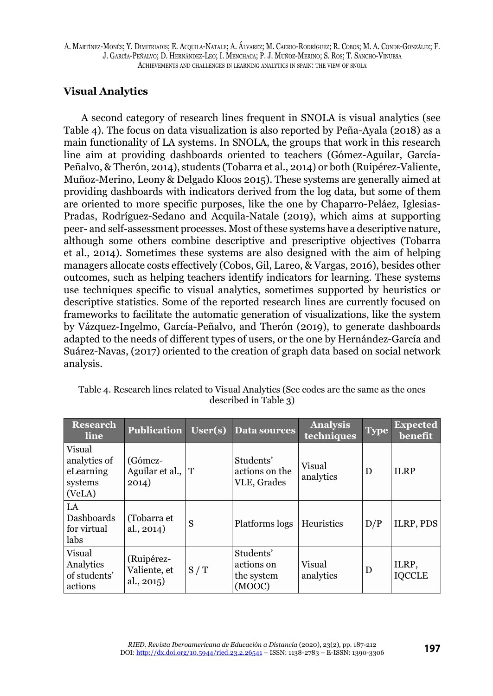# **Visual Analytics**

A second category of research lines frequent in SNOLA is visual analytics (see Table 4). The focus on data visualization is also reported by Peña-Ayala (2018) as a main functionality of LA systems. In SNOLA, the groups that work in this research line aim at providing dashboards oriented to teachers (Gómez-Aguilar, García-Peñalvo, & Therón, 2014), students (Tobarra et al., 2014) or both (Ruipérez-Valiente, Muñoz-Merino, Leony & Delgado Kloos 2015). These systems are generally aimed at providing dashboards with indicators derived from the log data, but some of them are oriented to more specific purposes, like the one by Chaparro-Peláez, Iglesias-Pradas, Rodríguez-Sedano and Acquila-Natale (2019), which aims at supporting peer- and self-assessment processes. Most of these systems have a descriptive nature, although some others combine descriptive and prescriptive objectives (Tobarra et al., 2014). Sometimes these systems are also designed with the aim of helping managers allocate costs effectively (Cobos, Gil, Lareo, & Vargas, 2016), besides other outcomes, such as helping teachers identify indicators for learning. These systems use techniques specific to visual analytics, sometimes supported by heuristics or descriptive statistics. Some of the reported research lines are currently focused on frameworks to facilitate the automatic generation of visualizations, like the system by Vázquez-Ingelmo, García-Peñalvo, and Therón (2019), to generate dashboards adapted to the needs of different types of users, or the one by Hernández-García and Suárez-Navas, (2017) oriented to the creation of graph data based on social network analysis.

| <b>Research</b><br>line                                  | <b>Publication</b>                        | User(s) | Data sources                                    | <b>Analysis</b><br>techniques | <b>Type</b> | <b>Expected</b><br>benefit |
|----------------------------------------------------------|-------------------------------------------|---------|-------------------------------------------------|-------------------------------|-------------|----------------------------|
| Visual<br>analytics of<br>eLearning<br>systems<br>(VeLA) | (Gómez-<br>Aguilar et al., $ T $<br>2014) |         | Students'<br>actions on the<br>VLE, Grades      | Visual<br>analytics           | D           | <b>ILRP</b>                |
| LA<br>Dashboards<br>for virtual<br>labs                  | (Tobarra et<br>al., 2014)                 | S       | Platforms logs                                  | Heuristics                    | D/P         | ILRP, PDS                  |
| Visual<br>Analytics<br>of students'<br>actions           | (Ruipérez-<br>Valiente, et<br>al., 2015)  | S/T     | Students'<br>actions on<br>the system<br>(MOOC) | Visual<br>analytics           | D           | ILRP,<br><b>IOCCLE</b>     |

Table 4. Research lines related to Visual Analytics (See codes are the same as the ones described in Table 3)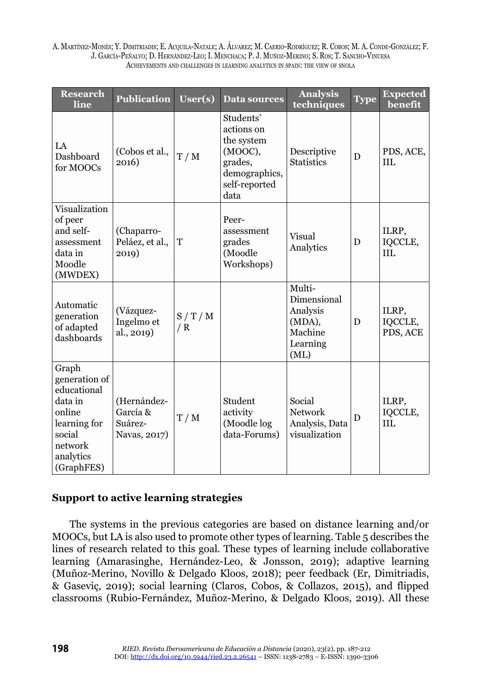| <b>Research</b><br>line                                                                                                    | <b>Publication</b>                                 | $\overline{\text{User}(s)}$ | <b>Data sources</b>                                                                                   | <b>Analysis</b><br>techniques                                              | <b>Type</b> | <b>Expected</b><br>benefit     |
|----------------------------------------------------------------------------------------------------------------------------|----------------------------------------------------|-----------------------------|-------------------------------------------------------------------------------------------------------|----------------------------------------------------------------------------|-------------|--------------------------------|
| LA<br>Dashboard<br>for MOOCs                                                                                               | (Cobos et al.,<br>2016)                            | T/M                         | Students'<br>actions on<br>the system<br>(MOOC),<br>grades,<br>demographics,<br>self-reported<br>data | Descriptive<br><b>Statistics</b>                                           | D           | PDS, ACE,<br><b>IIL</b>        |
| Visualization<br>of peer<br>and self-<br>assessment<br>data in<br>Moodle<br>(MWDEX)                                        | (Chaparro-<br>Peláez, et al.,<br>2019)             | T                           | Peer-<br>assessment<br>grades<br>(Moodle<br>Workshops)                                                | Visual<br>Analytics                                                        | D           | ILRP,<br>IQCCLE,<br><b>IIL</b> |
| Automatic<br>generation<br>of adapted<br>dashboards                                                                        | (Vázquez-<br>Ingelmo et<br>al., 2019)              | S/T/M<br>/ R                |                                                                                                       | Multi-<br>Dimensional<br>Analysis<br>(MDA),<br>Machine<br>Learning<br>(ML) | D           | ILRP,<br>IQCCLE,<br>PDS, ACE   |
| Graph<br>generation of<br>educational<br>data in<br>online<br>learning for<br>social<br>network<br>analytics<br>(GraphFES) | (Hernández-<br>García &<br>Suárez-<br>Navas, 2017) | T/M                         | Student<br>activity<br>(Moodle log<br>data-Forums)                                                    | Social<br><b>Network</b><br>Analysis, Data<br>visualization                | D           | ILRP,<br>IQCCLE,<br>III.       |

# **Support to active learning strategies**

The systems in the previous categories are based on distance learning and/or MOOCs, but LA is also used to promote other types of learning. Table 5 describes the lines of research related to this goal. These types of learning include collaborative learning (Amarasinghe, Hernández-Leo, & Jonsson, 2019); adaptive learning (Muñoz-Merino, Novillo & Delgado Kloos, 2018); peer feedback (Er, Dimitriadis, & Gaseviç, 2019); social learning (Claros, Cobos, & Collazos, 2015), and flipped classrooms (Rubio-Fernández, Muñoz-Merino, & Delgado Kloos, 2019). All these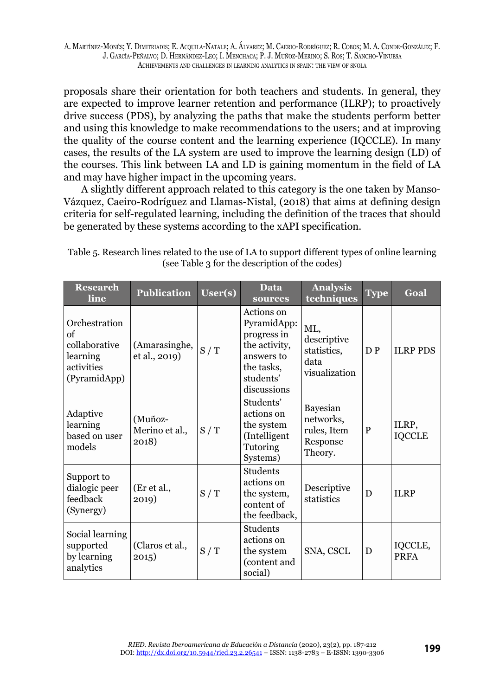proposals share their orientation for both teachers and students. In general, they are expected to improve learner retention and performance (ILRP); to proactively drive success (PDS), by analyzing the paths that make the students perform better and using this knowledge to make recommendations to the users; and at improving the quality of the course content and the learning experience (IQCCLE). In many cases, the results of the LA system are used to improve the learning design (LD) of the courses. This link between LA and LD is gaining momentum in the field of LA and may have higher impact in the upcoming years.

A slightly different approach related to this category is the one taken by Manso-Vázquez, Caeiro-Rodríguez and Llamas-Nistal, (2018) that aims at defining design criteria for self-regulated learning, including the definition of the traces that should be generated by these systems according to the xAPI specification.

| <b>Research</b><br>line                                                        | <b>Publication</b>                 | User(s) | Data<br>sources                                                                                                   | <b>Analysis</b><br>techniques                               | <b>Type</b> | Goal                   |
|--------------------------------------------------------------------------------|------------------------------------|---------|-------------------------------------------------------------------------------------------------------------------|-------------------------------------------------------------|-------------|------------------------|
| Orchestration<br>of<br>collaborative<br>learning<br>activities<br>(PyramidApp) | (Amarasinghe,<br>et al., 2019)     | S/T     | Actions on<br>PyramidApp:<br>progress in<br>the activity,<br>answers to<br>the tasks,<br>students'<br>discussions | ML,<br>descriptive<br>statistics,<br>data<br>visualization  | D P         | <b>ILRP PDS</b>        |
| Adaptive<br>learning<br>based on user<br>models                                | (Muñoz-<br>Merino et al.,<br>2018) | S/T     | Students'<br>actions on<br>the system<br>(Intelligent<br>Tutoring<br>Systems)                                     | Bayesian<br>networks,<br>rules, Item<br>Response<br>Theory. | P           | ILRP,<br><b>IQCCLE</b> |
| Support to<br>dialogic peer<br>feedback<br>(Synergy)                           | (Er et al.,<br>2019)               | S/T     | Students<br>actions on<br>the system,<br>content of<br>the feedback,                                              | Descriptive<br>statistics                                   | D           | <b>ILRP</b>            |
| Social learning<br>supported<br>by learning<br>analytics                       | (Claros et al.,<br>2015)           | S/T     | Students<br>actions on<br>the system<br>(content and<br>social)                                                   | SNA, CSCL                                                   | D           | IQCCLE,<br>PRFA        |

Table 5. Research lines related to the use of LA to support different types of online learning (see Table 3 for the description of the codes)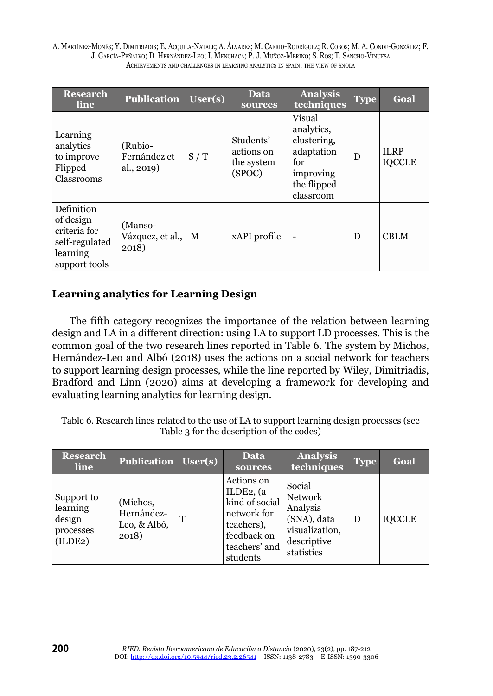| <b>Research</b><br>line                                                                | <b>Publication</b>                    | User(s) | Data<br>sources                                 | <b>Analysis</b><br>techniques                                                                     | <b>Type</b> | Goal                         |
|----------------------------------------------------------------------------------------|---------------------------------------|---------|-------------------------------------------------|---------------------------------------------------------------------------------------------------|-------------|------------------------------|
| Learning<br>analytics<br>to improve<br>Flipped<br>Classrooms                           | (Rubio-<br>Fernández et<br>al., 2019) | S/T     | Students'<br>actions on<br>the system<br>(SPOC) | Visual<br>analytics,<br>clustering,<br>adaptation<br>for<br>improving<br>the flipped<br>classroom | D           | <b>ILRP</b><br><b>IQCCLE</b> |
| Definition<br>of design<br>criteria for<br>self-regulated<br>learning<br>support tools | (Manso-<br>Vázquez, et al.,<br>2018)  | M       | xAPI profile                                    |                                                                                                   | D           | <b>CBLM</b>                  |

# **Learning analytics for Learning Design**

The fifth category recognizes the importance of the relation between learning design and LA in a different direction: using LA to support LD processes. This is the common goal of the two research lines reported in Table 6. The system by Michos, Hernández-Leo and Albó (2018) uses the actions on a social network for teachers to support learning design processes, while the line reported by Wiley, Dimitriadis, Bradford and Linn (2020) aims at developing a framework for developing and evaluating learning analytics for learning design.

Table 6. Research lines related to the use of LA to support learning design processes (see Table 3 for the description of the codes)

| <b>Research</b><br>line                                  | <b>Publication</b> User(s)                      |   | <b>Data</b><br>sources                                                                                              | <b>Analysis</b><br>techniques                                                                      | <b>Type</b> | Goal          |
|----------------------------------------------------------|-------------------------------------------------|---|---------------------------------------------------------------------------------------------------------------------|----------------------------------------------------------------------------------------------------|-------------|---------------|
| Support to<br>learning<br>design<br>processes<br>(ILDE2) | (Michos,<br>Hernández-<br>Leo, & Albó,<br>2018) | T | Actions on<br>ILDE2, (a)<br>kind of social<br>network for<br>teachers),<br>feedback on<br>teachers' and<br>students | Social<br><b>Network</b><br>Analysis<br>(SNA), data<br>visualization,<br>descriptive<br>statistics | D           | <b>IOCCLE</b> |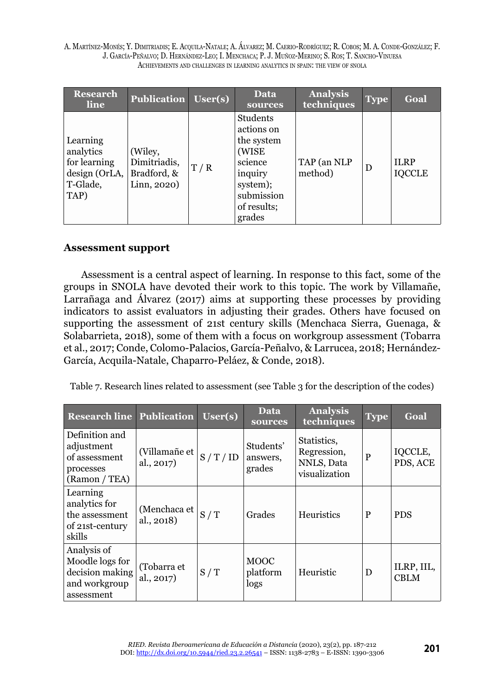| <b>Research</b><br>line                                                    | <b>Publication User(s)</b>                            |     | <b>Data</b><br>sources                                                                                                        | <b>Analysis</b><br>techniques | <b>Type</b> | Goal                         |
|----------------------------------------------------------------------------|-------------------------------------------------------|-----|-------------------------------------------------------------------------------------------------------------------------------|-------------------------------|-------------|------------------------------|
| Learning<br>analytics<br>for learning<br>design (OrLA,<br>T-Glade,<br>TAP) | (Wiley,<br>Dimitriadis,<br>Bradford, &<br>Linn, 2020) | T/R | <b>Students</b><br>actions on<br>the system<br>(WISE<br>science<br>inquiry<br>system);<br>submission<br>of results:<br>grades | TAP (an NLP<br>method)        | D           | <b>ILRP</b><br><b>IQCCLE</b> |

#### **Assessment support**

Assessment is a central aspect of learning. In response to this fact, some of the groups in SNOLA have devoted their work to this topic. The work by Villamañe, Larrañaga and Álvarez (2017) aims at supporting these processes by providing indicators to assist evaluators in adjusting their grades. Others have focused on supporting the assessment of 21st century skills (Menchaca Sierra, Guenaga, & Solabarrieta, 2018), some of them with a focus on workgroup assessment (Tobarra et al., 2017; Conde, Colomo-Palacios, García-Peñalvo, & Larrucea, 2018; Hernández-García, Acquila-Natale, Chaparro-Peláez, & Conde, 2018).

| Table 7. Research lines related to assessment (see Table 3 for the description of the codes) |  |  |
|----------------------------------------------------------------------------------------------|--|--|
|----------------------------------------------------------------------------------------------|--|--|

| <b>Research line Publication</b>                                                 |                             | User(s) | Data<br>sources                 | <b>Analysis</b><br>techniques                             | <b>Type</b> | Goal                      |
|----------------------------------------------------------------------------------|-----------------------------|---------|---------------------------------|-----------------------------------------------------------|-------------|---------------------------|
| Definition and<br>adjustment<br>of assessment<br>processes<br>(Ramon / TEA)      | (Villamañe et<br>al., 2017) | S/T/ID  | Students'<br>answers,<br>grades | Statistics,<br>Regression,<br>NNLS, Data<br>visualization | P           | IQCCLE,<br>PDS, ACE       |
| Learning<br>analytics for<br>the assessment<br>of 21st-century<br>skills         | (Menchaca et<br>al., 2018)  | S/T     | Grades                          | Heuristics                                                | P           | <b>PDS</b>                |
| Analysis of<br>Moodle logs for<br>decision making<br>and workgroup<br>assessment | (Tobarra et<br>al., 2017)   | S/T     | <b>MOOC</b><br>platform<br>logs | Heuristic                                                 | D           | ILRP, IIL,<br><b>CBLM</b> |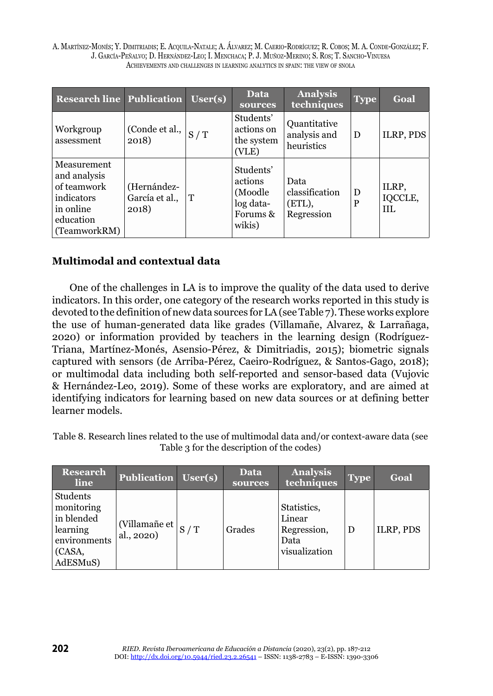| <b>Research line Publication</b>                                                                   |                                        | User(s) | Data<br>sources                                                     | <b>Analysis</b><br>techniques                  | <b>Type</b> | Goal                           |
|----------------------------------------------------------------------------------------------------|----------------------------------------|---------|---------------------------------------------------------------------|------------------------------------------------|-------------|--------------------------------|
| Workgroup<br>assessment                                                                            | (Conde et al.,<br>2018)                | S/T     | Students'<br>actions on<br>the system<br>(VLE)                      | Quantitative<br>analysis and<br>heuristics     | D           | ILRP, PDS                      |
| Measurement<br>and analysis<br>of teamwork<br>indicators<br>in online<br>education<br>(TeamworkRM) | (Hernández-<br>García et al.,<br>2018) | ١T      | Students'<br>actions<br>(Moodle)<br>log data-<br>Forums &<br>wikis) | Data<br>classification<br>(ETL),<br>Regression | D<br>P      | ILRP,<br>IQCCLE,<br><b>IIL</b> |

# **Multimodal and contextual data**

One of the challenges in LA is to improve the quality of the data used to derive indicators. In this order, one category of the research works reported in this study is devoted to the definition of new data sources for LA (see Table 7). These works explore the use of human-generated data like grades (Villamañe, Alvarez, & Larrañaga, 2020) or information provided by teachers in the learning design (Rodríguez-Triana, Martínez-Monés, Asensio-Pérez, & Dimitriadis, 2015); biometric signals captured with sensors (de Arriba-Pérez, Caeiro-Rodríguez, & Santos-Gago, 2018); or multimodal data including both self-reported and sensor-based data (Vujovic & Hernández-Leo, 2019). Some of these works are exploratory, and are aimed at identifying indicators for learning based on new data sources or at defining better learner models.

Table 8. Research lines related to the use of multimodal data and/or context-aware data (see Table 3 for the description of the codes)

| <b>Research</b><br>line                                                                | <b>Publication</b> User(s)       |     | Data<br>sources | <b>Analysis</b><br>techniques                                 | <b>Type</b> | Goal      |
|----------------------------------------------------------------------------------------|----------------------------------|-----|-----------------|---------------------------------------------------------------|-------------|-----------|
| Students<br>monitoring<br>in blended<br>learning<br>environments<br>(CASA,<br>AdESMuS) | (Villamañe et $\vert$ al., 2020) | S/T | Grades          | Statistics,<br>Linear<br>Regression,<br>Data<br>visualization | D           | ILRP, PDS |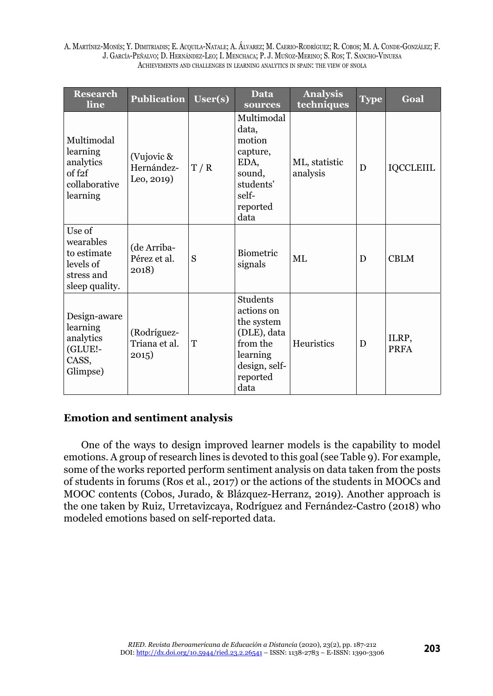| <b>Research</b><br>line                                                         | <b>Publication</b>                     | User(s) | Data<br>sources                                                                                                  | <b>Analysis</b><br>techniques | <b>Type</b> | Goal             |
|---------------------------------------------------------------------------------|----------------------------------------|---------|------------------------------------------------------------------------------------------------------------------|-------------------------------|-------------|------------------|
| Multimodal<br>learning<br>analytics<br>of f2f<br>collaborative<br>learning      | (Vujovic &<br>Hernández-<br>Leo, 2019) | T/R     | Multimodal<br>data.<br>motion<br>capture,<br>EDA,<br>sound,<br>students'<br>self-<br>reported<br>data            | ML, statistic<br>analysis     | D           | <b>IQCCLEIIL</b> |
| Use of<br>wearables<br>to estimate<br>levels of<br>stress and<br>sleep quality. | (de Arriba-<br>Pérez et al.<br>2018)   | S       | <b>Biometric</b><br>signals                                                                                      | ML                            | D           | <b>CBLM</b>      |
| Design-aware<br>learning<br>analytics<br>(GLUE!-<br>CASS,<br>Glimpse)           | (Rodríguez-<br>Triana et al.<br>2015)  | T       | Students<br>actions on<br>the system<br>(DLE), data<br>from the<br>learning<br>design, self-<br>reported<br>data | Heuristics                    | D           | ILRP,<br>PRFA    |

### **Emotion and sentiment analysis**

One of the ways to design improved learner models is the capability to model emotions. A group of research lines is devoted to this goal (see Table 9). For example, some of the works reported perform sentiment analysis on data taken from the posts of students in forums (Ros et al., 2017) or the actions of the students in MOOCs and MOOC contents (Cobos, Jurado, & Blázquez-Herranz, 2019). Another approach is the one taken by Ruiz, Urretavizcaya, Rodríguez and Fernández-Castro (2018) who modeled emotions based on self-reported data.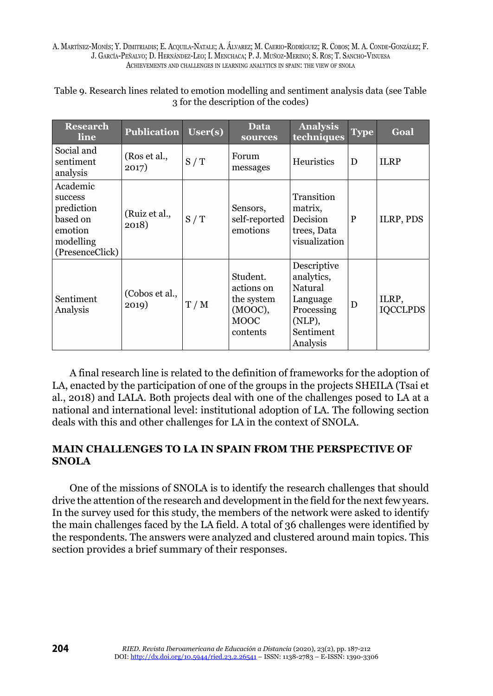| Table 9. Research lines related to emotion modelling and sentiment analysis data (see Table |  |
|---------------------------------------------------------------------------------------------|--|
| 3 for the description of the codes)                                                         |  |

| <b>Research</b><br>line                                                                  | <b>Publication</b>      | User(s) | Data<br>sources                                                               | <b>Analysis</b><br>techniques                                                                     | <b>Type</b> | Goal                     |
|------------------------------------------------------------------------------------------|-------------------------|---------|-------------------------------------------------------------------------------|---------------------------------------------------------------------------------------------------|-------------|--------------------------|
| Social and<br>sentiment<br>analysis                                                      | (Ros et al.,<br>2017)   | S/T     | Forum<br>messages                                                             | <b>Heuristics</b>                                                                                 | D           | <b>ILRP</b>              |
| Academic<br>success<br>prediction<br>based on<br>emotion<br>modelling<br>(PresenceClick) | (Ruiz et al.,<br>2018)  | S/T     | Sensors,<br>self-reported<br>emotions                                         | Transition<br>matrix,<br><b>Decision</b><br>trees, Data<br>visualization                          | P           | ILRP, PDS                |
| Sentiment<br>Analysis                                                                    | (Cobos et al.,<br>2019) | T/M     | Student.<br>actions on<br>the system<br>$(MOOC)$ ,<br><b>MOOC</b><br>contents | Descriptive<br>analytics,<br>Natural<br>Language<br>Processing<br>(NLP),<br>Sentiment<br>Analysis | D           | ILRP,<br><b>IQCCLPDS</b> |

A final research line is related to the definition of frameworks for the adoption of LA, enacted by the participation of one of the groups in the projects SHEILA (Tsai et al., 2018) and LALA. Both projects deal with one of the challenges posed to LA at a national and international level: institutional adoption of LA. The following section deals with this and other challenges for LA in the context of SNOLA.

# **MAIN CHALLENGES TO LA IN SPAIN FROM THE PERSPECTIVE OF SNOLA**

One of the missions of SNOLA is to identify the research challenges that should drive the attention of the research and development in the field for the next few years. In the survey used for this study, the members of the network were asked to identify the main challenges faced by the LA field. A total of 36 challenges were identified by the respondents. The answers were analyzed and clustered around main topics. This section provides a brief summary of their responses.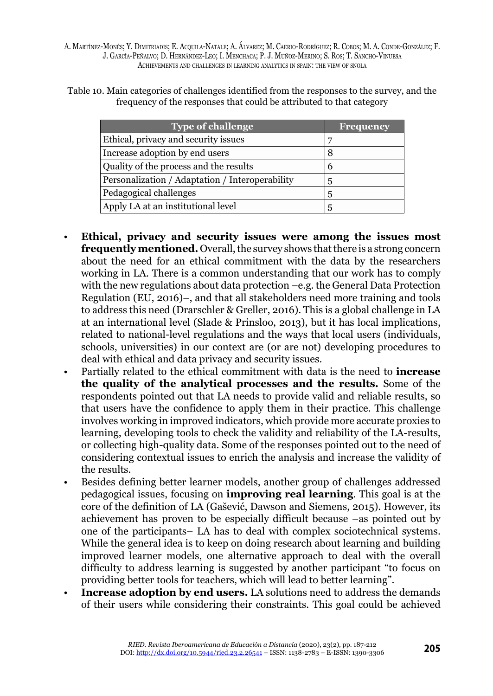Table 10. Main categories of challenges identified from the responses to the survey, and the frequency of the responses that could be attributed to that category

| <b>Type of challenge</b>                        | <b>Frequency</b> |
|-------------------------------------------------|------------------|
| Ethical, privacy and security issues            |                  |
| Increase adoption by end users                  | 8                |
| Quality of the process and the results          | 6                |
| Personalization / Adaptation / Interoperability | 5                |
| Pedagogical challenges                          | 5                |
| Apply LA at an institutional level              | 5                |

- **Ethical, privacy and security issues were among the issues most frequently mentioned.** Overall, the survey shows that there is a strong concern about the need for an ethical commitment with the data by the researchers working in LA. There is a common understanding that our work has to comply with the new regulations about data protection –e.g. the General Data Protection Regulation (EU, 2016)–, and that all stakeholders need more training and tools to address this need (Drarschler & Greller, 2016). This is a global challenge in LA at an international level (Slade & Prinsloo, 2013), but it has local implications, related to national-level regulations and the ways that local users (individuals, schools, universities) in our context are (or are not) developing procedures to deal with ethical and data privacy and security issues.
- Partially related to the ethical commitment with data is the need to **increase the quality of the analytical processes and the results.** Some of the respondents pointed out that LA needs to provide valid and reliable results, so that users have the confidence to apply them in their practice. This challenge involves working in improved indicators, which provide more accurate proxies to learning, developing tools to check the validity and reliability of the LA-results, or collecting high-quality data. Some of the responses pointed out to the need of considering contextual issues to enrich the analysis and increase the validity of the results.
- Besides defining better learner models, another group of challenges addressed pedagogical issues, focusing on **improving real learning**. This goal is at the core of the definition of LA (Gašević, Dawson and Siemens, 2015). However, its achievement has proven to be especially difficult because –as pointed out by one of the participants– LA has to deal with complex sociotechnical systems. While the general idea is to keep on doing research about learning and building improved learner models, one alternative approach to deal with the overall difficulty to address learning is suggested by another participant "to focus on providing better tools for teachers, which will lead to better learning".
- **Increase adoption by end users.** LA solutions need to address the demands of their users while considering their constraints. This goal could be achieved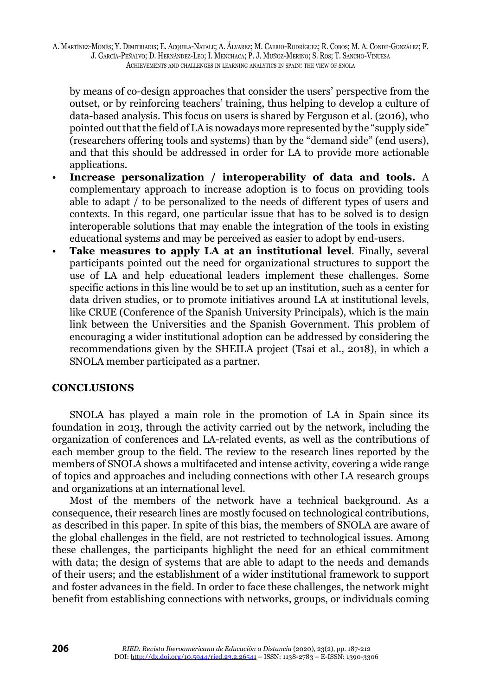by means of co-design approaches that consider the users' perspective from the outset, or by reinforcing teachers' training, thus helping to develop a culture of data-based analysis. This focus on users is shared by Ferguson et al. (2016), who pointed out that the field of LA is nowadays more represented by the "supply side" (researchers offering tools and systems) than by the "demand side" (end users), and that this should be addressed in order for LA to provide more actionable applications.

- **Increase personalization / interoperability of data and tools.** A complementary approach to increase adoption is to focus on providing tools able to adapt / to be personalized to the needs of different types of users and contexts. In this regard, one particular issue that has to be solved is to design interoperable solutions that may enable the integration of the tools in existing educational systems and may be perceived as easier to adopt by end-users.
- **Take measures to apply LA at an institutional level**. Finally, several participants pointed out the need for organizational structures to support the use of LA and help educational leaders implement these challenges. Some specific actions in this line would be to set up an institution, such as a center for data driven studies, or to promote initiatives around LA at institutional levels, like CRUE (Conference of the Spanish University Principals), which is the main link between the Universities and the Spanish Government. This problem of encouraging a wider institutional adoption can be addressed by considering the recommendations given by the SHEILA project (Tsai et al., 2018), in which a SNOLA member participated as a partner.

# **CONCLUSIONS**

SNOLA has played a main role in the promotion of LA in Spain since its foundation in 2013, through the activity carried out by the network, including the organization of conferences and LA-related events, as well as the contributions of each member group to the field. The review to the research lines reported by the members of SNOLA shows a multifaceted and intense activity, covering a wide range of topics and approaches and including connections with other LA research groups and organizations at an international level.

Most of the members of the network have a technical background. As a consequence, their research lines are mostly focused on technological contributions, as described in this paper. In spite of this bias, the members of SNOLA are aware of the global challenges in the field, are not restricted to technological issues. Among these challenges, the participants highlight the need for an ethical commitment with data; the design of systems that are able to adapt to the needs and demands of their users; and the establishment of a wider institutional framework to support and foster advances in the field. In order to face these challenges, the network might benefit from establishing connections with networks, groups, or individuals coming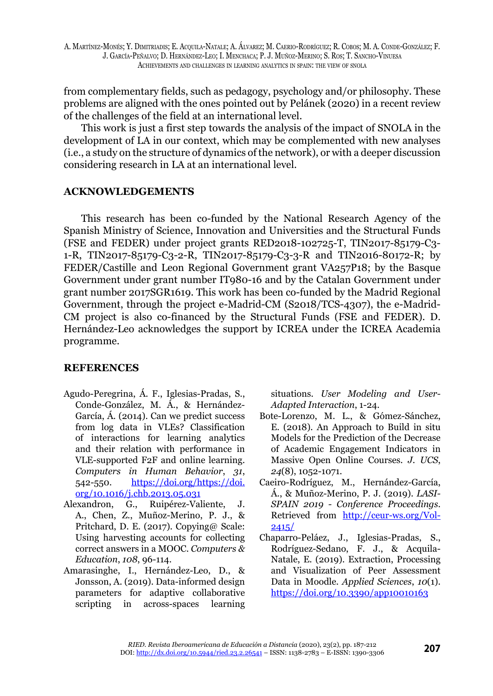from complementary fields, such as pedagogy, psychology and/or philosophy. These problems are aligned with the ones pointed out by Pelánek (2020) in a recent review of the challenges of the field at an international level.

This work is just a first step towards the analysis of the impact of SNOLA in the development of LA in our context, which may be complemented with new analyses (i.e., a study on the structure of dynamics of the network), or with a deeper discussion considering research in LA at an international level.

# **ACKNOWLEDGEMENTS**

This research has been co-funded by the National Research Agency of the Spanish Ministry of Science, Innovation and Universities and the Structural Funds (FSE and FEDER) under project grants RED2018-102725-T, TIN2017-85179-C3- 1-R, TIN2017-85179-C3-2-R, TIN2017-85179-C3-3-R and TIN2016-80172-R; by FEDER/Castille and Leon Regional Government grant VA257P18; by the Basque Government under grant number IT980-16 and by the Catalan Government under grant number 2017SGR1619. This work has been co-funded by the Madrid Regional Government, through the project e-Madrid-CM (S2018/TCS-4307), the e-Madrid-CM project is also co-financed by the Structural Funds (FSE and FEDER). D. Hernández-Leo acknowledges the support by ICREA under the ICREA Academia programme.

# **REFERENCES**

- Agudo-Peregrina, Á. F., Iglesias-Pradas, S., Conde-González, M. Á., & Hernández-García, Á. (2014). Can we predict success from log data in VLEs? Classification of interactions for learning analytics and their relation with performance in VLE-supported F2F and online learning. *Computers in Human Behavior*, *31*, 542-550. [https://doi.org/https://doi.](https://doi.org/https://doi.org/10.1016/j.chb.2013.05.031) [org/10.1016/j.chb.2013.05.031](https://doi.org/https://doi.org/10.1016/j.chb.2013.05.031)
- Alexandron, G., Ruipérez-Valiente, J. A., Chen, Z., Muñoz-Merino, P. J., & Pritchard, D. E. (2017). Copying@ Scale: Using harvesting accounts for collecting correct answers in a MOOC. *Computers & Education*, *108*, 96-114.
- Amarasinghe, I., Hernández-Leo, D., & Jonsson, A. (2019). Data-informed design parameters for adaptive collaborative scripting in across-spaces learning

situations. *User Modeling and User-Adapted Interaction*, 1-24.

- Bote-Lorenzo, M. L., & Gómez-Sánchez, E. (2018). An Approach to Build in situ Models for the Prediction of the Decrease of Academic Engagement Indicators in Massive Open Online Courses. *J. UCS*, *24*(8), 1052-1071.
- Caeiro-Rodríguez, M., Hernández-García, Á., & Muñoz-Merino, P. J. (2019). *LASI-SPAIN 2019 - Conference Proceedings*. Retrieved from [http://ceur-ws.org/Vol-](http://ceur-ws.org/Vol-2415/)[2415/](http://ceur-ws.org/Vol-2415/)
- Chaparro-Peláez, J., Iglesias-Pradas, S., Rodríguez-Sedano, F. J., & Acquila-Natale, E. (2019). Extraction, Processing and Visualization of Peer Assessment Data in Moodle. *Applied Sciences*, *10*(1). <https://doi.org/10.3390/app10010163>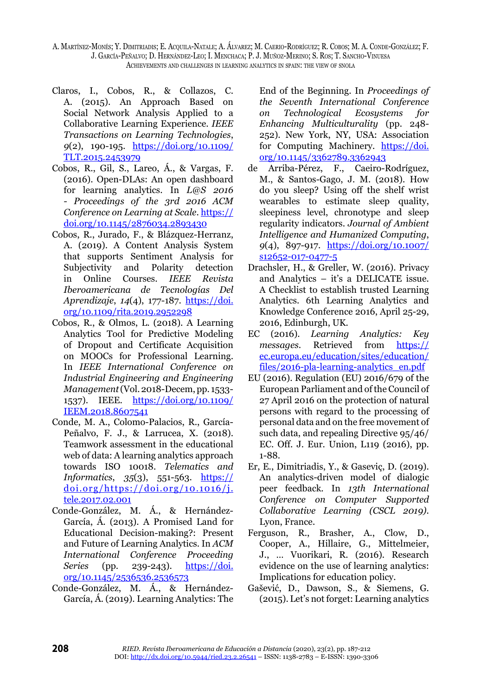- Claros, I., Cobos, R., & Collazos, C. A. (2015). An Approach Based on Social Network Analysis Applied to a Collaborative Learning Experience. *IEEE Transactions on Learning Technologies*, *9*(2), 190-195. [https://doi.org/10.1109/](https://doi.org/10.1109/TLT.2015.2453979) [TLT.2015.2453979](https://doi.org/10.1109/TLT.2015.2453979)
- Cobos, R., Gil, S., Lareo, Á., & Vargas, F. (2016). Open-DLAs: An open dashboard for learning analytics. In *L@S 2016 - Proceedings of the 3rd 2016 ACM Conference on Learning at Scale*. [https://](https://doi.org/10.1145/2876034.2893430) [doi.org/10.1145/2876034.2893430](https://doi.org/10.1145/2876034.2893430)
- Cobos, R., Jurado, F., & Blázquez-Herranz, A. (2019). A Content Analysis System that supports Sentiment Analysis for Subjectivity and Polarity detection in Online Courses. *IEEE Revista Iberoamericana de Tecnologías Del Aprendizaje*, *14*(4), 177-187. [https://doi.](https://doi.org/10.1109/rita.2019.2952298) [org/10.1109/rita.2019.2952298](https://doi.org/10.1109/rita.2019.2952298)
- Cobos, R., & Olmos, L. (2018). A Learning Analytics Tool for Predictive Modeling of Dropout and Certificate Acquisition on MOOCs for Professional Learning. In *IEEE International Conference on Industrial Engineering and Engineering Management* (Vol. 2018-Decem, pp. 1533- 1537). IEEE. [https://doi.org/10.1109/](https://doi.org/10.1109/IEEM.2018.8607541) [IEEM.2018.8607541](https://doi.org/10.1109/IEEM.2018.8607541)
- Conde, M. A., Colomo-Palacios, R., García-Peñalvo, F. J., & Larrucea, X. (2018). Teamwork assessment in the educational web of data: A learning analytics approach towards ISO 10018. *Telematics and Informatics*, *35*(3), 551-563. [https://](https://doi.org/https://doi.org/10.1016/j.tele.2017.02.001 ) [doi.org/https://doi.org/10.1016/j.](https://doi.org/https://doi.org/10.1016/j.tele.2017.02.001 ) [tele.2017.02.001](https://doi.org/https://doi.org/10.1016/j.tele.2017.02.001 )
- Conde-González, M. Á., & Hernández-García, Á. (2013). A Promised Land for Educational Decision-making?: Present and Future of Learning Analytics. In *ACM International Conference Proceeding Series* (pp. 239-243). [https://doi.](https://doi.org/10.1145/2536536.2536573) [org/10.1145/2536536.2536573](https://doi.org/10.1145/2536536.2536573)
- Conde-González, M. Á., & Hernández-García, Á. (2019). Learning Analytics: The

End of the Beginning. In *Proceedings of the Seventh International Conference on Technological Ecosystems for Enhancing Multiculturality* (pp. 248- 252). New York, NY, USA: Association for Computing Machinery. [https://doi.](https://doi.org/10.1145/3362789.3362943) [org/10.1145/3362789.3362943](https://doi.org/10.1145/3362789.3362943)

- de Arriba-Pérez, F., Caeiro-Rodríguez, M., & Santos-Gago, J. M. (2018). How do you sleep? Using off the shelf wrist wearables to estimate sleep quality, sleepiness level, chronotype and sleep regularity indicators. *Journal of Ambient Intelligence and Humanized Computing*, *9*(4), 897-917. [https://doi.org/10.1007/](https://doi.org/10.1007/s12652-017-0477-5) [s12652-017-0477-5](https://doi.org/10.1007/s12652-017-0477-5)
- Drachsler, H., & Greller, W. (2016). Privacy and Analytics – it's a DELICATE issue. A Checklist to establish trusted Learning Analytics. 6th Learning Analytics and Knowledge Conference 2016, April 25-29, 2016, Edinburgh, UK.
- EC (2016). *Learning Analytics: Key messages*. Retrieved from [https://](https://ec.europa.eu/education/sites/education/files/2016-pla-learning-analytics_en.pdf) [ec.europa.eu/education/sites/education/](https://ec.europa.eu/education/sites/education/files/2016-pla-learning-analytics_en.pdf) [files/2016-pla-learning-analytics\\_en.pdf](https://ec.europa.eu/education/sites/education/files/2016-pla-learning-analytics_en.pdf)
- EU (2016). Regulation (EU) 2016/679 of the European Parliament and of the Council of 27 April 2016 on the protection of natural persons with regard to the processing of personal data and on the free movement of such data, and repealing Directive 95/46/ EC. Off. J. Eur. Union, L119 (2016), pp. 1-88.
- Er, E., Dimitriadis, Y., & Gaseviç, D. (2019). An analytics-driven model of dialogic peer feedback. In *13th International Conference on Computer Supported Collaborative Learning (CSCL 2019)*. Lyon, France.
- Ferguson, R., Brasher, A., Clow, D., Cooper, A., Hillaire, G., Mittelmeier, J., … Vuorikari, R. (2016). Research evidence on the use of learning analytics: Implications for education policy.
- Gašević, D., Dawson, S., & Siemens, G. (2015). Let's not forget: Learning analytics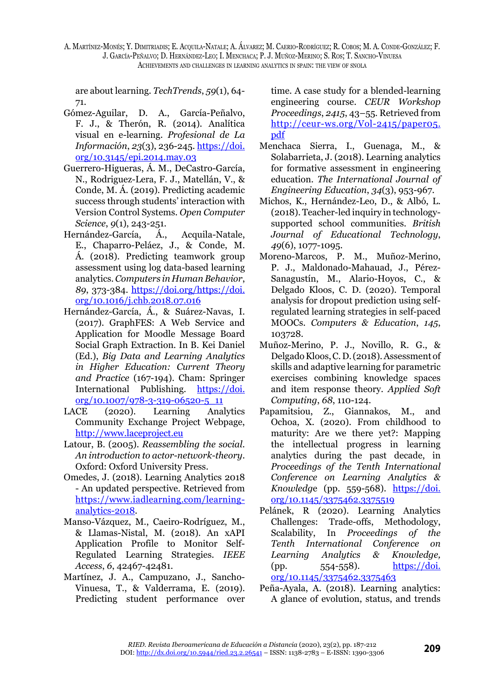are about learning. *TechTrends*, *59*(1), 64- 71.

- Gómez-Aguilar, D. A., García-Peñalvo, F. J., & Therón, R. (2014). Analítica visual en e-learning. *Profesional de La Información*, *23*(3), 236-245. [https://doi.](https://doi.org/10.3145/epi.2014.may.03) [org/10.3145/epi.2014.may.03](https://doi.org/10.3145/epi.2014.may.03)
- Guerrero-Higueras, Á. M., DeCastro-García, N., Rodriguez-Lera, F. J., Matellán, V., & Conde, M. Á. (2019). Predicting academic success through students' interaction with Version Control Systems. *Open Computer Science*, *9*(1), 243-251.
- Hernández-García, Á., Acquila-Natale, E., Chaparro-Peláez, J., & Conde, M. Á. (2018). Predicting teamwork group assessment using log data-based learning analytics. *Computers in Human Behavior*, *89*, 373-384. [https://doi.org/https://doi.](https://doi.org/https://doi.org/10.1016/j.chb.2018.07.016) [org/10.1016/j.chb.2018.07.016](https://doi.org/https://doi.org/10.1016/j.chb.2018.07.016)
- Hernández-García, Á., & Suárez-Navas, I. (2017). GraphFES: A Web Service and Application for Moodle Message Board Social Graph Extraction. In B. Kei Daniel (Ed.), *Big Data and Learning Analytics in Higher Education: Current Theory and Practice* (167-194). Cham: Springer International Publishing. [https://doi.](https://doi.org/10.1007/978-3-319-06520-5_11) [org/10.1007/978-3-319-06520-5\\_11](https://doi.org/10.1007/978-3-319-06520-5_11)
- LACE (2020). Learning Analytics Community Exchange Project Webpage, <http://www.laceproject.eu>
- Latour, B. (2005). *Reassembling the social. An introduction to actor-network-theory*. Oxford: Oxford University Press.
- Omedes, J. (2018). Learning Analytics 2018 - An updated perspective. Retrieved from [https://www.iadlearning.com/learning](https://www.iadlearning.com/learning-analytics-2018)[analytics-2018.](https://www.iadlearning.com/learning-analytics-2018)
- Manso-Vázquez, M., Caeiro-Rodríguez, M., & Llamas-Nistal, M. (2018). An xAPI Application Profile to Monitor Self-Regulated Learning Strategies. *IEEE Access*, *6*, 42467-42481.
- Martínez, J. A., Campuzano, J., Sancho-Vinuesa, T., & Valderrama, E. (2019). Predicting student performance over

time. A case study for a blended-learning engineering course. *CEUR Workshop Proceedings*, *2415*, 43–55. Retrieved from [http://ceur-ws.org/Vol-2415/paper05.](http://ceur-ws.org/Vol-2415/paper05.pdf) [pdf](http://ceur-ws.org/Vol-2415/paper05.pdf)

- Menchaca Sierra, I., Guenaga, M., & Solabarrieta, J. (2018). Learning analytics for formative assessment in engineering education. *The International Journal of Engineering Education*, *34*(3), 953-967.
- Michos, K., Hernández-Leo, D., & Albó, L. (2018). Teacher-led inquiry in technologysupported school communities. *British Journal of Educational Technology*, *49*(6), 1077-1095.
- Moreno-Marcos, P. M., Muñoz-Merino, P. J., Maldonado-Mahauad, J., Pérez-Sanagustín, M., Alario-Hoyos, C., & Delgado Kloos, C. D. (2020). Temporal analysis for dropout prediction using selfregulated learning strategies in self-paced MOOCs. *Computers & Education*, *145*, 103728.
- Muñoz-Merino, P. J., Novillo, R. G., & Delgado Kloos, C. D. (2018). Assessment of skills and adaptive learning for parametric exercises combining knowledge spaces and item response theory. *Applied Soft Computing*, *68*, 110-124.
- Papamitsiou, Z., Giannakos, M., and Ochoa, X. (2020). From childhood to maturity: Are we there yet?: Mapping the intellectual progress in learning analytics during the past decade, in *Proceedings of the Tenth International Conference on Learning Analytics & Knowledg*e (pp. 559-568). [https://doi.](https://doi.org/10.1145/3375462.3375519) [org/10.1145/3375462.3375519](https://doi.org/10.1145/3375462.3375519)
- Pelánek, R (2020). Learning Analytics Challenges: Trade-offs, Methodology, Scalability, In *Proceedings of the Tenth International Conference on Learning Analytics & Knowledge,*  (pp. 554-558). [https://doi.](https://doi.org/10.1145/3375462.3375463) [org/10.1145/3375462.3375463](https://doi.org/10.1145/3375462.3375463)
- Peña-Ayala, A. (2018). Learning analytics: A glance of evolution, status, and trends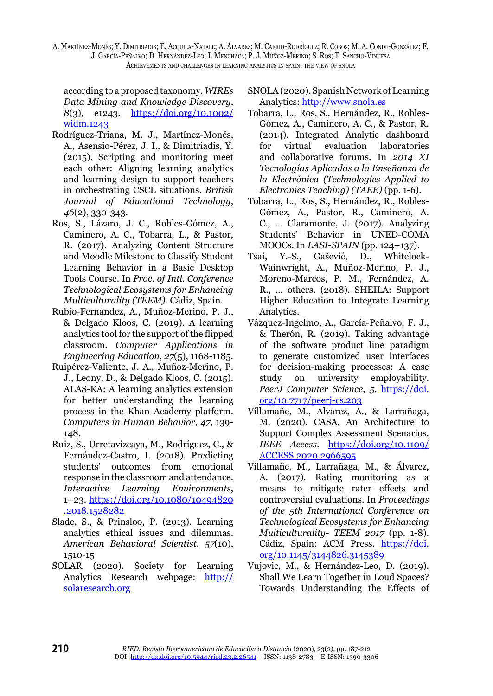according to a proposed taxonomy. *WIREs Data Mining and Knowledge Discovery*, *8*(3), e1243. [https://doi.org/10.1002/](https://doi.org/10.1002/widm.1243) [widm.1243](https://doi.org/10.1002/widm.1243)

- Rodríguez-Triana, M. J., Martínez-Monés, A., Asensio-Pérez, J. I., & Dimitriadis, Y. (2015). Scripting and monitoring meet each other: Aligning learning analytics and learning design to support teachers in orchestrating CSCL situations. *British Journal of Educational Technology*, *46*(2), 330-343.
- Ros, S., Lázaro, J. C., Robles-Gómez, A., Caminero, A. C., Tobarra, L., & Pastor, R. (2017). Analyzing Content Structure and Moodle Milestone to Classify Student Learning Behavior in a Basic Desktop Tools Course. In *Proc. of Intl. Conference Technological Ecosystems for Enhancing Multiculturality (TEEM)*. Cádiz, Spain.
- Rubio-Fernández, A., Muñoz-Merino, P. J., & Delgado Kloos, C. (2019). A learning analytics tool for the support of the flipped classroom. *Computer Applications in Engineering Education*, *27*(5), 1168-1185.
- Ruipérez-Valiente, J. A., Muñoz-Merino, P. J., Leony, D., & Delgado Kloos, C. (2015). ALAS-KA: A learning analytics extension for better understanding the learning process in the Khan Academy platform. *Computers in Human Behavior*, *47*, 139- 148.
- Ruiz, S., Urretavizcaya, M., Rodríguez, C., & Fernández-Castro, I. (2018). Predicting students' outcomes from emotional response in the classroom and attendance. *Interactive Learning Environments*, 1–23. [https://doi.org/10.1080/10494820](https://doi.org/10.1080/10494820.2018.1528282) [.2018.1528282](https://doi.org/10.1080/10494820.2018.1528282)
- Slade, S., & Prinsloo, P. (2013). Learning analytics ethical issues and dilemmas. *American Behavioral Scientist*, *57*(10), 1510-15
- SOLAR (2020). Society for Learning Analytics Research webpage: [http://](http://solaresearch.org) [solaresearch.org](http://solaresearch.org)
- SNOLA (2020). Spanish Network of Learning Analytics:<http://www.snola.es>
- Tobarra, L., Ros, S., Hernández, R., Robles-Gómez, A., Caminero, A. C., & Pastor, R. (2014). Integrated Analytic dashboard for virtual evaluation laboratories and collaborative forums. In *2014 XI Tecnologías Aplicadas a la Enseñanza de la Electrónica (Technologies Applied to Electronics Teaching) (TAEE)* (pp. 1-6).
- Tobarra, L., Ros, S., Hernández, R., Robles-Gómez, A., Pastor, R., Caminero, A. C., … Claramonte, J. (2017). Analyzing Students' Behavior in UNED-COMA MOOCs. In *LASI-SPAIN* (pp. 124–137).
- Tsai, Y.-S., Gašević, D., Whitelock-Wainwright, A., Muñoz-Merino, P. J., Moreno-Marcos, P. M., Fernández, A. R., … others. (2018). SHEILA: Support Higher Education to Integrate Learning Analytics.
- Vázquez-Ingelmo, A., García-Peñalvo, F. J., & Therón, R. (2019). Taking advantage of the software product line paradigm to generate customized user interfaces for decision-making processes: A case study on university employability. *PeerJ Computer Science*, *5*. [https://doi.](https://doi.org/10.7717/peerj-cs.203) [org/10.7717/peerj-cs.203](https://doi.org/10.7717/peerj-cs.203)
- Villamañe, M., Alvarez, A., & Larrañaga, M. (2020). CASA, An Architecture to Support Complex Assessment Scenarios. *IEEE Access*. [https://doi.org/10.1109/](https://doi.org/10.1109/ACCESS.2020.2966595) [ACCESS.2020.2966595](https://doi.org/10.1109/ACCESS.2020.2966595)
- Villamañe, M., Larrañaga, M., & Álvarez, A. (2017). Rating monitoring as a means to mitigate rater effects and controversial evaluations. In *Proceedings of the 5th International Conference on Technological Ecosystems for Enhancing Multiculturality- TEEM 2017* (pp. 1-8). Cádiz, Spain: ACM Press. [https://doi.](https://doi.org/10.1145/3144826.3145389) [org/10.1145/3144826.3145389](https://doi.org/10.1145/3144826.3145389)
- Vujovic, M., & Hernández-Leo, D. (2019). Shall We Learn Together in Loud Spaces? Towards Understanding the Effects of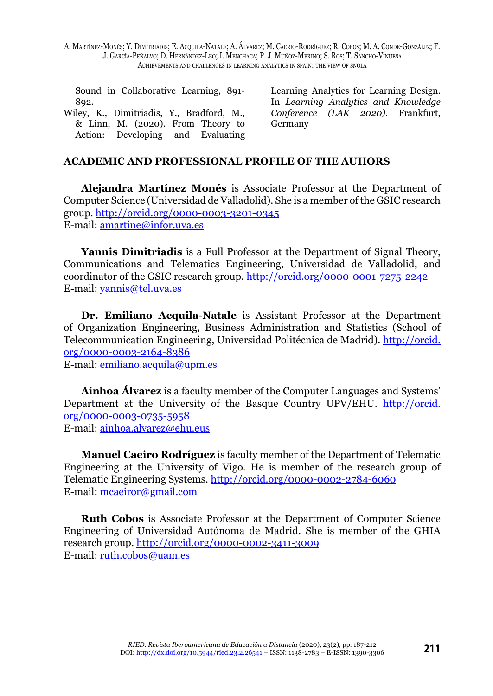|        | Sound in Collaborative Learning, 891- |  |  |
|--------|---------------------------------------|--|--|
| - 892. |                                       |  |  |
|        | $U = V - \sum_{i=1}^{n} U_i$          |  |  |

Wiley, K., Dimitriadis, Y., Bradford, M., & Linn, M. (2020). From Theory to Action: Developing and Evaluating Learning Analytics for Learning Design. In *Learning Analytics and Knowledge Conference (LAK 2020)*. Frankfurt, Germany

#### **ACADEMIC AND PROFESSIONAL PROFILE OF THE AUHORS**

**Alejandra Martínez Monés** is Associate Professor at the Department of Computer Science (Universidad de Valladolid). She is a member of the GSIC research group. <http://orcid.org/0000-0003-3201-0345> E-mail: [amartine@infor.uva.es](mailto:amartine@infor.uva.es)

**Yannis Dimitriadis** is a Full Professor at the Department of Signal Theory, Communications and Telematics Engineering, Universidad de Valladolid, and coordinator of the GSIC research group.<http://orcid.org/0000-0001-7275-2242> E-mail: [yannis@tel.uva.es](mailto:yannis@tel.uva.es)

**Dr. Emiliano Acquila-Natale** is Assistant Professor at the Department of Organization Engineering, Business Administration and Statistics (School of Telecommunication Engineering, Universidad Politécnica de Madrid). [http://orcid.](http://orcid.org/0000-0003-2164-8386) [org/0000-0003-2164-8386](http://orcid.org/0000-0003-2164-8386)

E-mail: [emiliano.acquila@upm.es](mailto:emiliano.acquila@upm.es)

**Ainhoa Álvarez** is a faculty member of the Computer Languages and Systems' Department at the University of the Basque Country UPV/EHU. [http://orcid.](http://orcid.org/0000-0003-0735-5958) [org/0000-0003-0735-5958](http://orcid.org/0000-0003-0735-5958) E-mail: [ainhoa.alvarez@ehu.eus](mailto:ainhoa.alvarez@ehu.eus)

**Manuel Caeiro Rodríguez** is faculty member of the Department of Telematic Engineering at the University of Vigo. He is member of the research group of Telematic Engineering Systems.<http://orcid.org/0000-0002-2784-6060> E-mail: [mcaeiror@gmail.com](mailto:mcaeiror@gmail.com)

**Ruth Cobos** is Associate Professor at the Department of Computer Science Engineering of Universidad Autónoma de Madrid. She is member of the GHIA research group. <http://orcid.org/0000-0002-3411-3009> E-mail: [ruth.cobos@uam.es](mailto:ruth.cobos@uam.es)